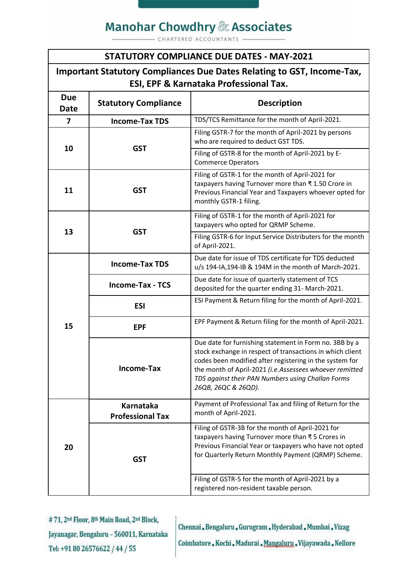## **Manohar Chowdhry & Associates**

CHARTERED ACCOUNTANTS

#### **STATUTORY COMPLIANCE DUE DATES - MAY-2021**

### **Important Statutory Compliances Due Dates Relating to GST, Income-Tax, ESI, EPF & Karnataka Professional Tax.**

| <b>Due</b><br><b>Date</b> | <b>Statutory Compliance</b>                 | <b>Description</b>                                                                                                                                                                                                                                                                                                    |
|---------------------------|---------------------------------------------|-----------------------------------------------------------------------------------------------------------------------------------------------------------------------------------------------------------------------------------------------------------------------------------------------------------------------|
| 7                         | <b>Income-Tax TDS</b>                       | TDS/TCS Remittance for the month of April-2021.                                                                                                                                                                                                                                                                       |
| 10                        | <b>GST</b>                                  | Filing GSTR-7 for the month of April-2021 by persons<br>who are required to deduct GST TDS.                                                                                                                                                                                                                           |
|                           |                                             | Filing of GSTR-8 for the month of April-2021 by E-<br><b>Commerce Operators</b>                                                                                                                                                                                                                                       |
| 11                        | <b>GST</b>                                  | Filing of GSTR-1 for the month of April-2021 for<br>taxpayers having Turnover more than ₹1.50 Crore in<br>Previous Financial Year and Taxpayers whoever opted for<br>monthly GSTR-1 filing.                                                                                                                           |
| 13                        | <b>GST</b>                                  | Filing of GSTR-1 for the month of April-2021 for<br>taxpayers who opted for QRMP Scheme.                                                                                                                                                                                                                              |
|                           |                                             | Filing GSTR-6 for Input Service Distributers for the month<br>of April-2021.                                                                                                                                                                                                                                          |
| 15                        | <b>Income-Tax TDS</b>                       | Due date for issue of TDS certificate for TDS deducted<br>u/s 194-IA,194-IB & 194M in the month of March-2021.                                                                                                                                                                                                        |
|                           | <b>Income-Tax - TCS</b>                     | Due date for issue of quarterly statement of TCS<br>deposited for the quarter ending 31- March-2021.                                                                                                                                                                                                                  |
|                           | <b>ESI</b>                                  | ESI Payment & Return filing for the month of April-2021.                                                                                                                                                                                                                                                              |
|                           | <b>EPF</b>                                  | EPF Payment & Return filing for the month of April-2021.                                                                                                                                                                                                                                                              |
|                           | <b>Income-Tax</b>                           | Due date for furnishing statement in Form no. 3BB by a<br>stock exchange in respect of transactions in which client<br>codes been modified after registering in the system for<br>the month of April-2021 (i.e.Assessees whoever remitted<br>TDS against their PAN Numbers using Challan Forms<br>26QB, 26QC & 26QD). |
| 20                        | <b>Karnataka</b><br><b>Professional Tax</b> | Payment of Professional Tax and filing of Return for the<br>month of April-2021.                                                                                                                                                                                                                                      |
|                           | <b>GST</b>                                  | Filing of GSTR-3B for the month of April-2021 for<br>taxpayers having Turnover more than ₹5 Crores in<br>Previous Financial Year or taxpayers who have not opted<br>for Quarterly Return Monthly Payment (QRMP) Scheme.                                                                                               |
|                           |                                             | Filing of GSTR-5 for the month of April-2021 by a<br>registered non-resident taxable person.                                                                                                                                                                                                                          |

#71, 2<sup>nd</sup> Floor, 8<sup>th</sup> Main Road, 2<sup>nd</sup> Block, Jayanagar, Bengaluru - 560011, Karnataka Tel: +91 80 26576622 / 44 / 55

Chennai, Bengaluru, Gurugram, Hyderabad, Mumbai, Vizag Coimbatore, Kochi, Madurai, Mangaluru, Vijayawada, Nellore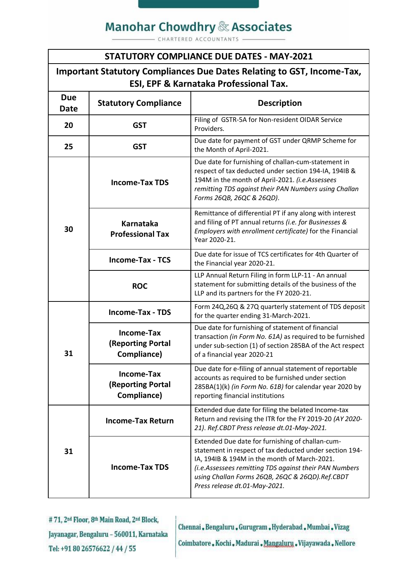## **Manohar Chowdhry & Associates**

CHARTERED ACCOUNTANTS

### **STATUTORY COMPLIANCE DUE DATES - MAY-2021**

| Important Statutory Compliances Due Dates Relating to GST, Income-Tax, |
|------------------------------------------------------------------------|
| <b>ESI, EPF &amp; Karnataka Professional Tax.</b>                      |

| <b>Due</b><br>Date | <b>Statutory Compliance</b>                                  | <b>Description</b>                                                                                                                                                                                                                                                                                        |
|--------------------|--------------------------------------------------------------|-----------------------------------------------------------------------------------------------------------------------------------------------------------------------------------------------------------------------------------------------------------------------------------------------------------|
| 20                 | <b>GST</b>                                                   | Filing of GSTR-5A for Non-resident OIDAR Service<br>Providers.                                                                                                                                                                                                                                            |
| 25                 | <b>GST</b>                                                   | Due date for payment of GST under QRMP Scheme for<br>the Month of April-2021.                                                                                                                                                                                                                             |
| 30                 | <b>Income-Tax TDS</b>                                        | Due date for furnishing of challan-cum-statement in<br>respect of tax deducted under section 194-IA, 194IB &<br>194M in the month of April-2021. (i.e.Assessees<br>remitting TDS against their PAN Numbers using Challan<br>Forms 26QB, 26QC & 26QD).                                                     |
|                    | <b>Karnataka</b><br><b>Professional Tax</b>                  | Remittance of differential PT if any along with interest<br>and filing of PT annual returns (i.e. for Businesses &<br>Employers with enrollment certificate) for the Financial<br>Year 2020-21.                                                                                                           |
|                    | <b>Income-Tax - TCS</b>                                      | Due date for issue of TCS certificates for 4th Quarter of<br>the Financial year 2020-21.                                                                                                                                                                                                                  |
|                    | <b>ROC</b>                                                   | LLP Annual Return Filing in form LLP-11 - An annual<br>statement for submitting details of the business of the<br>LLP and its partners for the FY 2020-21.                                                                                                                                                |
| 31                 | <b>Income-Tax - TDS</b>                                      | Form 24Q, 26Q & 27Q quarterly statement of TDS deposit<br>for the quarter ending 31-March-2021.                                                                                                                                                                                                           |
|                    | <b>Income-Tax</b><br><b>(Reporting Portal</b><br>Compliance) | Due date for furnishing of statement of financial<br>transaction (in Form No. 61A) as required to be furnished<br>under sub-section (1) of section 285BA of the Act respect<br>of a financial year 2020-21                                                                                                |
|                    | <b>Income-Tax</b><br><b>(Reporting Portal</b><br>Compliance) | Due date for e-filing of annual statement of reportable<br>accounts as required to be furnished under section<br>285BA(1)(k) (in Form No. 61B) for calendar year 2020 by<br>reporting financial institutions                                                                                              |
| 31                 | <b>Income-Tax Return</b>                                     | Extended due date for filing the belated Income-tax<br>Return and revising the ITR for the FY 2019-20 (AY 2020-<br>21). Ref.CBDT Press release dt.01-May-2021.                                                                                                                                            |
|                    | <b>Income-Tax TDS</b>                                        | Extended Due date for furnishing of challan-cum-<br>statement in respect of tax deducted under section 194-<br>IA, 194IB & 194M in the month of March-2021.<br>(i.e.Assessees remitting TDS against their PAN Numbers<br>using Challan Forms 26QB, 26QC & 26QD).Ref.CBDT<br>Press release dt.01-May-2021. |

#71, 2<sup>nd</sup> Floor, 8<sup>th</sup> Main Road, 2<sup>nd</sup> Block, Jayanagar, Bengaluru - 560011, Karnataka Tel: +91 80 26576622 / 44 / 55

Chennai, Bengaluru, Gurugram, Hyderabad, Mumbai, Vizag

Coimbatore, Kochi, Madurai, Mangaluru, Vijayawada, Nellore